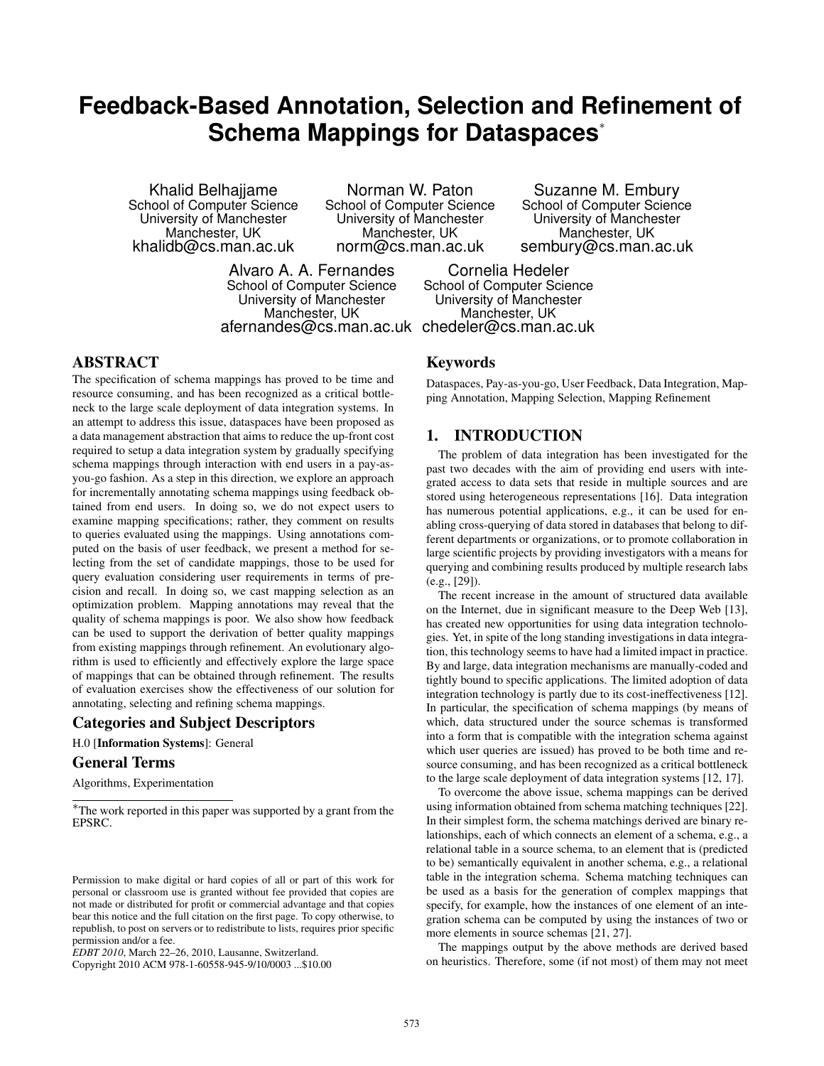# **Feedback-Based Annotation, Selection and Refinement of Schema Mappings for Dataspaces**<sup>∗</sup>

Khalid Belhajjame School of Computer Science University of Manchester Manchester, UK khalidb@cs.man.ac.uk

Norman W. Paton School of Computer Science University of Manchester Manchester, UK norm@cs.man.ac.uk

Alvaro A. A. Fernandes School of Computer Science University of Manchester Manchester, UK

Suzanne M. Embury School of Computer Science University of Manchester Manchester, UK sembury@cs.man.ac.uk

afernandes@cs.man.ac.uk chedeler@cs.man.ac.uk Cornelia Hedeler School of Computer Science University of Manchester Manchester, UK

## ABSTRACT

The specification of schema mappings has proved to be time and resource consuming, and has been recognized as a critical bottleneck to the large scale deployment of data integration systems. In an attempt to address this issue, dataspaces have been proposed as a data management abstraction that aims to reduce the up-front cost required to setup a data integration system by gradually specifying schema mappings through interaction with end users in a pay-asyou-go fashion. As a step in this direction, we explore an approach for incrementally annotating schema mappings using feedback obtained from end users. In doing so, we do not expect users to examine mapping specifications; rather, they comment on results to queries evaluated using the mappings. Using annotations computed on the basis of user feedback, we present a method for selecting from the set of candidate mappings, those to be used for query evaluation considering user requirements in terms of precision and recall. In doing so, we cast mapping selection as an optimization problem. Mapping annotations may reveal that the quality of schema mappings is poor. We also show how feedback can be used to support the derivation of better quality mappings from existing mappings through refinement. An evolutionary algorithm is used to efficiently and effectively explore the large space of mappings that can be obtained through refinement. The results of evaluation exercises show the effectiveness of our solution for annotating, selecting and refining schema mappings.

## Categories and Subject Descriptors

H.0 [Information Systems]: General

## General Terms

Algorithms, Experimentation

Copyright 2010 ACM 978-1-60558-945-9/10/0003 ...\$10.00

## Keywords

Dataspaces, Pay-as-you-go, User Feedback, Data Integration, Mapping Annotation, Mapping Selection, Mapping Refinement

# 1. INTRODUCTION

The problem of data integration has been investigated for the past two decades with the aim of providing end users with integrated access to data sets that reside in multiple sources and are stored using heterogeneous representations [16]. Data integration has numerous potential applications, e.g., it can be used for enabling cross-querying of data stored in databases that belong to different departments or organizations, or to promote collaboration in large scientific projects by providing investigators with a means for querying and combining results produced by multiple research labs (e.g., [29]).

The recent increase in the amount of structured data available on the Internet, due in significant measure to the Deep Web [13], has created new opportunities for using data integration technologies. Yet, in spite of the long standing investigations in data integration, this technology seems to have had a limited impact in practice. By and large, data integration mechanisms are manually-coded and tightly bound to specific applications. The limited adoption of data integration technology is partly due to its cost-ineffectiveness [12]. In particular, the specification of schema mappings (by means of which, data structured under the source schemas is transformed into a form that is compatible with the integration schema against which user queries are issued) has proved to be both time and resource consuming, and has been recognized as a critical bottleneck to the large scale deployment of data integration systems [12, 17].

To overcome the above issue, schema mappings can be derived using information obtained from schema matching techniques [22]. In their simplest form, the schema matchings derived are binary relationships, each of which connects an element of a schema, e.g., a relational table in a source schema, to an element that is (predicted to be) semantically equivalent in another schema, e.g., a relational table in the integration schema. Schema matching techniques can be used as a basis for the generation of complex mappings that specify, for example, how the instances of one element of an integration schema can be computed by using the instances of two or more elements in source schemas [21, 27].

The mappings output by the above methods are derived based on heuristics. Therefore, some (if not most) of them may not meet

<sup>∗</sup>The work reported in this paper was supported by a grant from the EPSRC.

Permission to make digital or hard copies of all or part of this work for personal or classroom use is granted without fee provided that copies are not made or distributed for profit or commercial advantage and that copies bear this notice and the full citation on the first page. To copy otherwise, to republish, to post on servers or to redistribute to lists, requires prior specific permission and/or a fee.

*EDBT 2010*, March 22–26, 2010, Lausanne, Switzerland.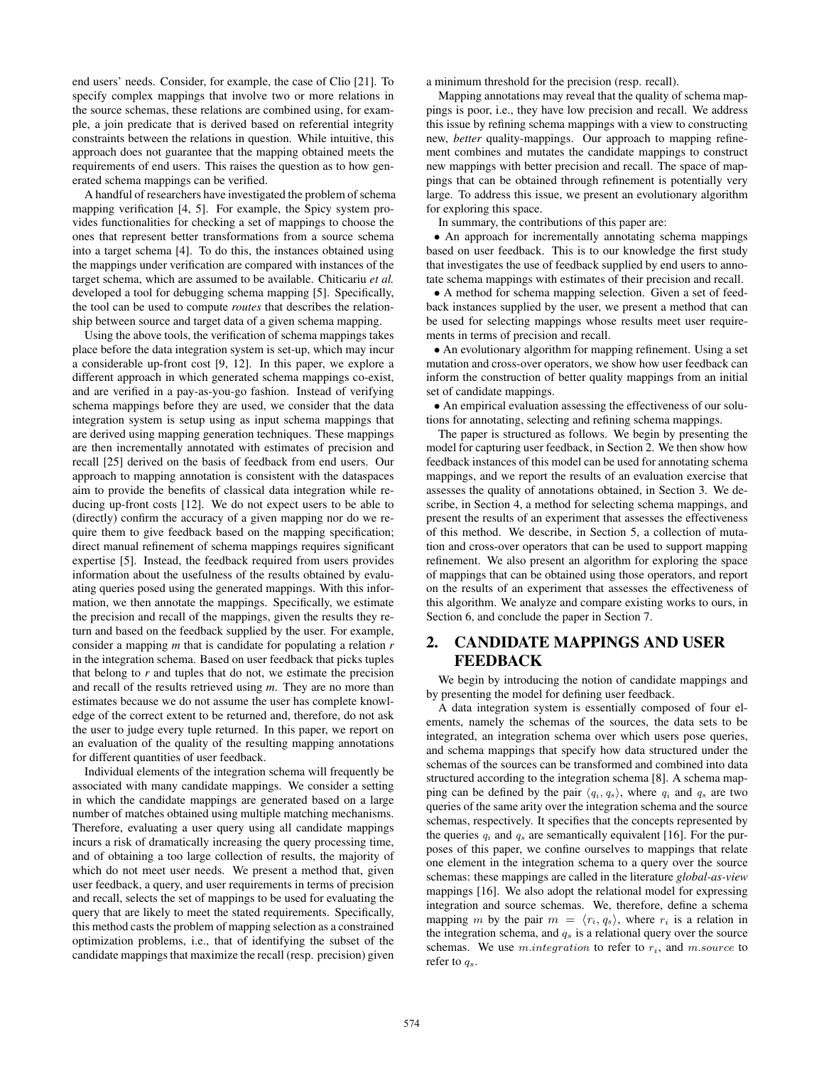end users' needs. Consider, for example, the case of Clio [21]. To specify complex mappings that involve two or more relations in the source schemas, these relations are combined using, for example, a join predicate that is derived based on referential integrity constraints between the relations in question. While intuitive, this approach does not guarantee that the mapping obtained meets the requirements of end users. This raises the question as to how generated schema mappings can be verified.

A handful of researchers have investigated the problem of schema mapping verification [4, 5]. For example, the Spicy system provides functionalities for checking a set of mappings to choose the ones that represent better transformations from a source schema into a target schema [4]. To do this, the instances obtained using the mappings under verification are compared with instances of the target schema, which are assumed to be available. Chiticariu *et al.* developed a tool for debugging schema mapping [5]. Specifically, the tool can be used to compute *routes* that describes the relationship between source and target data of a given schema mapping.

Using the above tools, the verification of schema mappings takes place before the data integration system is set-up, which may incur a considerable up-front cost [9, 12]. In this paper, we explore a different approach in which generated schema mappings co-exist, and are verified in a pay-as-you-go fashion. Instead of verifying schema mappings before they are used, we consider that the data integration system is setup using as input schema mappings that are derived using mapping generation techniques. These mappings are then incrementally annotated with estimates of precision and recall [25] derived on the basis of feedback from end users. Our approach to mapping annotation is consistent with the dataspaces aim to provide the benefits of classical data integration while reducing up-front costs [12]. We do not expect users to be able to (directly) confirm the accuracy of a given mapping nor do we require them to give feedback based on the mapping specification; direct manual refinement of schema mappings requires significant expertise [5]. Instead, the feedback required from users provides information about the usefulness of the results obtained by evaluating queries posed using the generated mappings. With this information, we then annotate the mappings. Specifically, we estimate the precision and recall of the mappings, given the results they return and based on the feedback supplied by the user. For example, consider a mapping *m* that is candidate for populating a relation *r* in the integration schema. Based on user feedback that picks tuples that belong to *r* and tuples that do not, we estimate the precision and recall of the results retrieved using *m*. They are no more than estimates because we do not assume the user has complete knowledge of the correct extent to be returned and, therefore, do not ask the user to judge every tuple returned. In this paper, we report on an evaluation of the quality of the resulting mapping annotations for different quantities of user feedback.

Individual elements of the integration schema will frequently be associated with many candidate mappings. We consider a setting in which the candidate mappings are generated based on a large number of matches obtained using multiple matching mechanisms. Therefore, evaluating a user query using all candidate mappings incurs a risk of dramatically increasing the query processing time, and of obtaining a too large collection of results, the majority of which do not meet user needs. We present a method that, given user feedback, a query, and user requirements in terms of precision and recall, selects the set of mappings to be used for evaluating the query that are likely to meet the stated requirements. Specifically, this method casts the problem of mapping selection as a constrained optimization problems, i.e., that of identifying the subset of the candidate mappings that maximize the recall (resp. precision) given

a minimum threshold for the precision (resp. recall).

Mapping annotations may reveal that the quality of schema mappings is poor, i.e., they have low precision and recall. We address this issue by refining schema mappings with a view to constructing new, *better* quality-mappings. Our approach to mapping refinement combines and mutates the candidate mappings to construct new mappings with better precision and recall. The space of mappings that can be obtained through refinement is potentially very large. To address this issue, we present an evolutionary algorithm for exploring this space.

In summary, the contributions of this paper are:

• An approach for incrementally annotating schema mappings based on user feedback. This is to our knowledge the first study that investigates the use of feedback supplied by end users to annotate schema mappings with estimates of their precision and recall.

• A method for schema mapping selection. Given a set of feedback instances supplied by the user, we present a method that can be used for selecting mappings whose results meet user requirements in terms of precision and recall.

• An evolutionary algorithm for mapping refinement. Using a set mutation and cross-over operators, we show how user feedback can inform the construction of better quality mappings from an initial set of candidate mappings.

• An empirical evaluation assessing the effectiveness of our solutions for annotating, selecting and refining schema mappings.

The paper is structured as follows. We begin by presenting the model for capturing user feedback, in Section 2. We then show how feedback instances of this model can be used for annotating schema mappings, and we report the results of an evaluation exercise that assesses the quality of annotations obtained, in Section 3. We describe, in Section 4, a method for selecting schema mappings, and present the results of an experiment that assesses the effectiveness of this method. We describe, in Section 5, a collection of mutation and cross-over operators that can be used to support mapping refinement. We also present an algorithm for exploring the space of mappings that can be obtained using those operators, and report on the results of an experiment that assesses the effectiveness of this algorithm. We analyze and compare existing works to ours, in Section 6, and conclude the paper in Section 7.

# 2. CANDIDATE MAPPINGS AND USER FEEDBACK

We begin by introducing the notion of candidate mappings and by presenting the model for defining user feedback.

A data integration system is essentially composed of four elements, namely the schemas of the sources, the data sets to be integrated, an integration schema over which users pose queries, and schema mappings that specify how data structured under the schemas of the sources can be transformed and combined into data structured according to the integration schema [8]. A schema mapping can be defined by the pair  $\langle q_i, q_s \rangle$ , where  $q_i$  and  $q_s$  are two queries of the same arity over the integration schema and the source schemas, respectively. It specifies that the concepts represented by the queries  $q_i$  and  $q_s$  are semantically equivalent [16]. For the purposes of this paper, we confine ourselves to mappings that relate one element in the integration schema to a query over the source schemas: these mappings are called in the literature *global-as-view* mappings [16]. We also adopt the relational model for expressing integration and source schemas. We, therefore, define a schema mapping m by the pair  $m = \langle r_i, q_s \rangle$ , where  $r_i$  is a relation in the integration schema, and  $q_s$  is a relational query over the source schemas. We use *m.integration* to refer to  $r_i$ , and *m.source* to refer to  $q_s$ .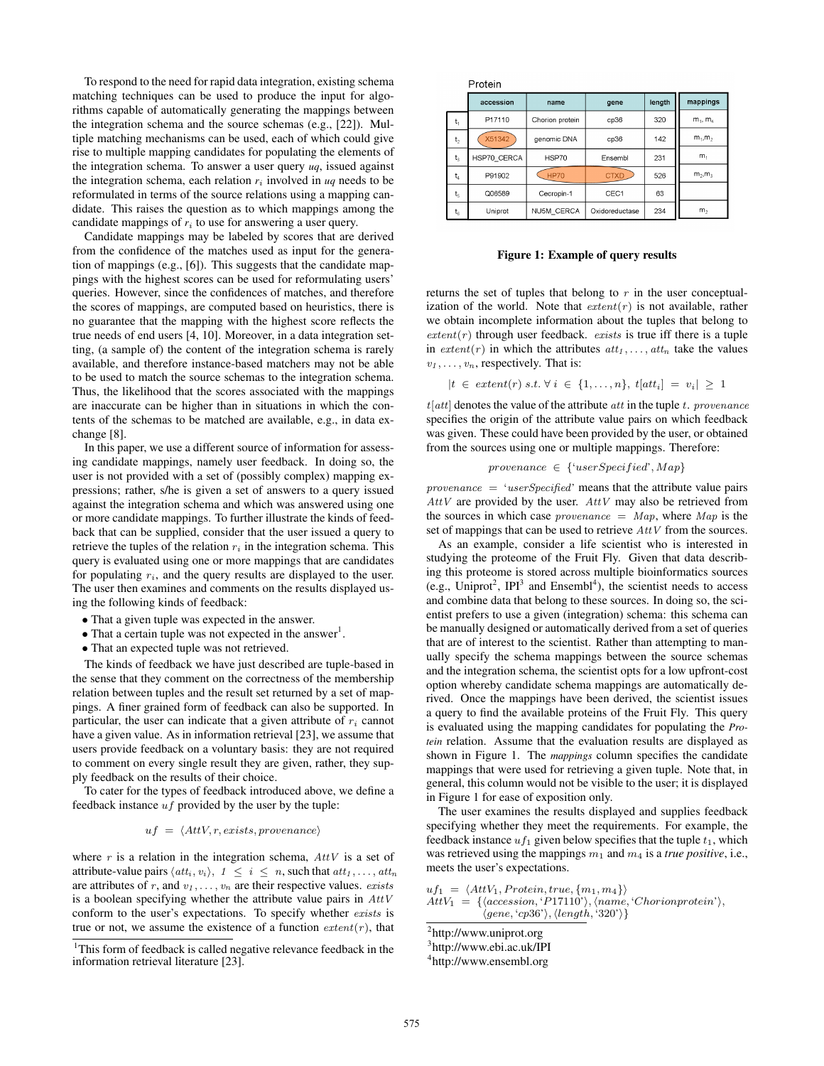To respond to the need for rapid data integration, existing schema matching techniques can be used to produce the input for algorithms capable of automatically generating the mappings between the integration schema and the source schemas (e.g., [22]). Multiple matching mechanisms can be used, each of which could give rise to multiple mapping candidates for populating the elements of the integration schema. To answer a user query *uq*, issued against the integration schema, each relation  $r_i$  involved in  $uq$  needs to be reformulated in terms of the source relations using a mapping candidate. This raises the question as to which mappings among the candidate mappings of  $r_i$  to use for answering a user query.

Candidate mappings may be labeled by scores that are derived from the confidence of the matches used as input for the generation of mappings (e.g., [6]). This suggests that the candidate mappings with the highest scores can be used for reformulating users' queries. However, since the confidences of matches, and therefore the scores of mappings, are computed based on heuristics, there is no guarantee that the mapping with the highest score reflects the true needs of end users [4, 10]. Moreover, in a data integration setting, (a sample of) the content of the integration schema is rarely available, and therefore instance-based matchers may not be able to be used to match the source schemas to the integration schema. Thus, the likelihood that the scores associated with the mappings are inaccurate can be higher than in situations in which the contents of the schemas to be matched are available, e.g., in data exchange [8].

In this paper, we use a different source of information for assessing candidate mappings, namely user feedback. In doing so, the user is not provided with a set of (possibly complex) mapping expressions; rather, s/he is given a set of answers to a query issued against the integration schema and which was answered using one or more candidate mappings. To further illustrate the kinds of feedback that can be supplied, consider that the user issued a query to retrieve the tuples of the relation  $r_i$  in the integration schema. This query is evaluated using one or more mappings that are candidates for populating  $r_i$ , and the query results are displayed to the user. The user then examines and comments on the results displayed using the following kinds of feedback:

- That a given tuple was expected in the answer.
- That a certain tuple was not expected in the answer<sup>1</sup>.
- That an expected tuple was not retrieved.

The kinds of feedback we have just described are tuple-based in the sense that they comment on the correctness of the membership relation between tuples and the result set returned by a set of mappings. A finer grained form of feedback can also be supported. In particular, the user can indicate that a given attribute of  $r_i$  cannot have a given value. As in information retrieval [23], we assume that users provide feedback on a voluntary basis: they are not required to comment on every single result they are given, rather, they supply feedback on the results of their choice.

To cater for the types of feedback introduced above, we define a feedback instance  $uf$  provided by the user by the tuple:

#### $uf = \langle AttV, r, exists, provenance \rangle$

where  $r$  is a relation in the integration schema,  $AttV$  is a set of attribute-value pairs  $\langle att_i, v_i \rangle$ ,  $1 \leq i \leq n$ , such that  $att_1, \ldots, att_n$ are attributes of r, and  $v_1, \ldots, v_n$  are their respective values. *exists* is a boolean specifying whether the attribute value pairs in  $AttV$ conform to the user's expectations. To specify whether exists is true or not, we assume the existence of a function  $ext{ext}(r)$ , that Protein

|                | accession   | name              | gene           | length | mappings       |
|----------------|-------------|-------------------|----------------|--------|----------------|
| $t_1$          | P17110      | Chorion protein   | cp36           | 320    | $m_1, m_4$     |
| t <sub>2</sub> | X51342      | genomic DNA       | cp36           | 142    | $m_1, m_2$     |
| t,             | HSP70 CERCA | HSP70             | Ensembl        | 231    | m <sub>1</sub> |
| $t_4$          | P91902      | <b>HP70</b>       | <b>CTXD</b>    | 526    | $m_2, m_3$     |
| $t_{5}$        | Q06589      | Cecropin-1        | CEC1           | 63     |                |
| $\mathsf{t}_6$ | Uniprot     | <b>NU5M CERCA</b> | Oxidoreductase | 234    | m <sub>2</sub> |

#### Figure 1: Example of query results

returns the set of tuples that belong to  $r$  in the user conceptualization of the world. Note that  $extent(r)$  is not available, rather we obtain incomplete information about the tuples that belong to  $extent(r)$  through user feedback. *exists* is true iff there is a tuple in  $ext{ent}(r)$  in which the attributes  $att_1, \ldots, att_n$  take the values  $v_1, \ldots, v_n$ , respectively. That is:

$$
|t \in \text{ extent}(r) \text{ s.t. } \forall i \in \{1, ..., n\}, \text{ } t[att_i] = v_i| \geq 1
$$

 $t[att]$  denotes the value of the attribute *att* in the tuple t. *provenance* specifies the origin of the attribute value pairs on which feedback was given. These could have been provided by the user, or obtained from the sources using one or multiple mappings. Therefore:

provenance  $\in \{``userSpecial", Map\}$ 

 $provenance = 'userSpecificed'$  means that the attribute value pairs  $AttV$  are provided by the user.  $AttV$  may also be retrieved from the sources in which case *provenance*  $= Map$ , where Map is the set of mappings that can be used to retrieve  $AttV$  from the sources.

As an example, consider a life scientist who is interested in studying the proteome of the Fruit Fly. Given that data describing this proteome is stored across multiple bioinformatics sources (e.g., Uniprot<sup>2</sup>, IPI<sup>3</sup> and Ensembl<sup>4</sup>), the scientist needs to access and combine data that belong to these sources. In doing so, the scientist prefers to use a given (integration) schema: this schema can be manually designed or automatically derived from a set of queries that are of interest to the scientist. Rather than attempting to manually specify the schema mappings between the source schemas and the integration schema, the scientist opts for a low upfront-cost option whereby candidate schema mappings are automatically derived. Once the mappings have been derived, the scientist issues a query to find the available proteins of the Fruit Fly. This query is evaluated using the mapping candidates for populating the *Protein* relation. Assume that the evaluation results are displayed as shown in Figure 1. The *mappings* column specifies the candidate mappings that were used for retrieving a given tuple. Note that, in general, this column would not be visible to the user; it is displayed in Figure 1 for ease of exposition only.

The user examines the results displayed and supplies feedback specifying whether they meet the requirements. For example, the feedback instance  $uf_1$  given below specifies that the tuple  $t_1$ , which was retrieved using the mappings  $m_1$  and  $m_4$  is a *true positive*, i.e., meets the user's expectations.

```
uf_1 = \langle AttV_1, Protein, true, \{m_1, m_4\}\rangleAttV_1 = \{ \langle accession, 'P17110' \rangle, \langle name, 'Chorion protein' \rangle,\langle gene, 'cp36' \rangle, \langle length, '320' \rangle
```

```
<sup>2</sup>http://www.uniprot.org
```
3 http://www.ebi.ac.uk/IPI

4 http://www.ensembl.org

<sup>&</sup>lt;sup>1</sup>This form of feedback is called negative relevance feedback in the information retrieval literature [23].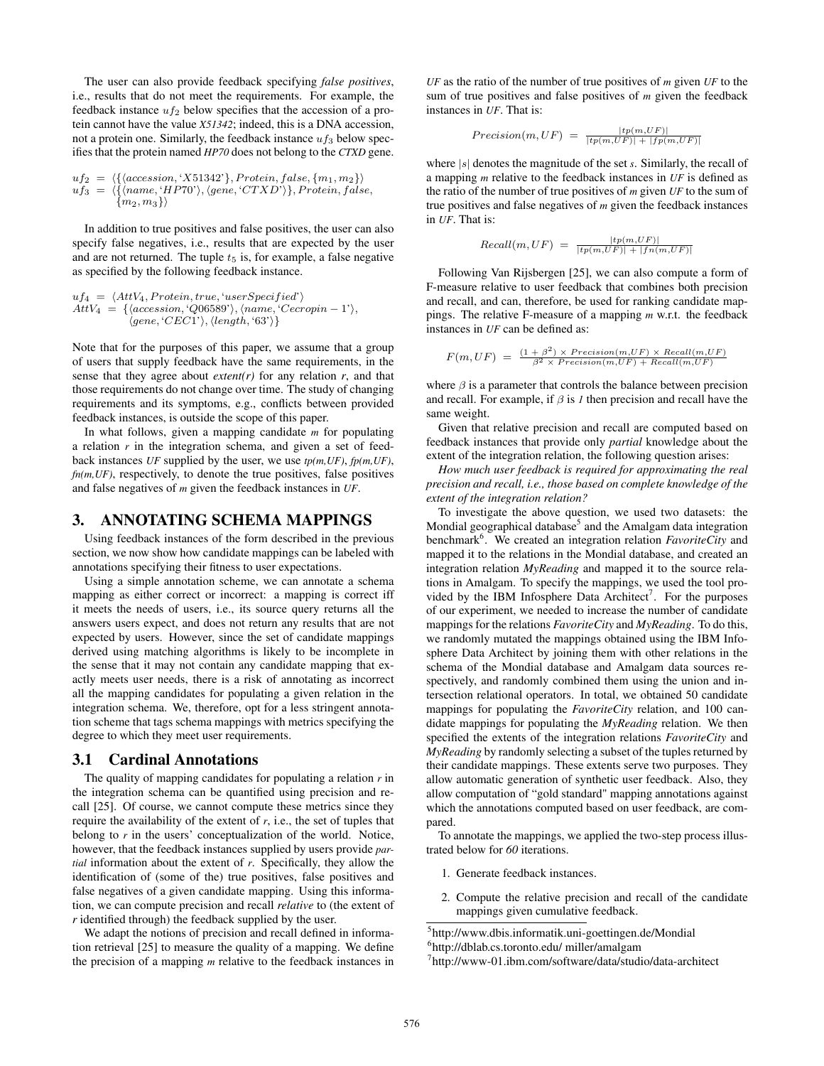The user can also provide feedback specifying *false positives*, i.e., results that do not meet the requirements. For example, the feedback instance  $uf_2$  below specifies that the accession of a protein cannot have the value *X51342*; indeed, this is a DNA accession, not a protein one. Similarly, the feedback instance  $uf_3$  below specifies that the protein named *HP70* does not belong to the *CTXD* gene.

$$
uf_2 = \langle \{ \langle accession, 'X51342' \}, Protein, false, \{m_1, m_2\} \rangle \right. uf_3 = \langle \{ \langle name, 'HPT0' \rangle, \langle gene, 'CTXD' \rangle \}, Protein, false, \{m_2, m_3\} \rangle
$$

In addition to true positives and false positives, the user can also specify false negatives, i.e., results that are expected by the user and are not returned. The tuple  $t_5$  is, for example, a false negative as specified by the following feedback instance.

$$
uf_4 = \langle AttV_4, Protein, true, 'userSpecificed' \rangle
$$
  
AttV<sub>4</sub> = { $\langle accesion, 'Q06589', \langle name, 'Cecropin - 1' \rangle, \langle gene, 'CEC1' \rangle, \langle length, '63' \rangle \}$ 

Note that for the purposes of this paper, we assume that a group of users that supply feedback have the same requirements, in the sense that they agree about  $extent(r)$  for any relation  $r$ , and that those requirements do not change over time. The study of changing requirements and its symptoms, e.g., conflicts between provided feedback instances, is outside the scope of this paper.

In what follows, given a mapping candidate *m* for populating a relation *r* in the integration schema, and given a set of feedback instances *UF* supplied by the user, we use *tp(m,UF)*, *fp(m,UF)*, *fn(m,UF)*, respectively, to denote the true positives, false positives and false negatives of *m* given the feedback instances in *UF*.

## 3. ANNOTATING SCHEMA MAPPINGS

Using feedback instances of the form described in the previous section, we now show how candidate mappings can be labeled with annotations specifying their fitness to user expectations.

Using a simple annotation scheme, we can annotate a schema mapping as either correct or incorrect: a mapping is correct iff it meets the needs of users, i.e., its source query returns all the answers users expect, and does not return any results that are not expected by users. However, since the set of candidate mappings derived using matching algorithms is likely to be incomplete in the sense that it may not contain any candidate mapping that exactly meets user needs, there is a risk of annotating as incorrect all the mapping candidates for populating a given relation in the integration schema. We, therefore, opt for a less stringent annotation scheme that tags schema mappings with metrics specifying the degree to which they meet user requirements.

#### 3.1 Cardinal Annotations

The quality of mapping candidates for populating a relation *r* in the integration schema can be quantified using precision and recall [25]. Of course, we cannot compute these metrics since they require the availability of the extent of *r*, i.e., the set of tuples that belong to  $r$  in the users' conceptualization of the world. Notice, however, that the feedback instances supplied by users provide *partial* information about the extent of *r*. Specifically, they allow the identification of (some of the) true positives, false positives and false negatives of a given candidate mapping. Using this information, we can compute precision and recall *relative* to (the extent of *r* identified through) the feedback supplied by the user.

We adapt the notions of precision and recall defined in information retrieval [25] to measure the quality of a mapping. We define the precision of a mapping *m* relative to the feedback instances in *UF* as the ratio of the number of true positives of *m* given *UF* to the sum of true positives and false positives of *m* given the feedback instances in *UF*. That is:

$$
Precision(m,UF) = \frac{|tp(m,UF)|}{|tp(m,UF)| + |fp(m,UF)|}
$$

where |s| denotes the magnitude of the set *s*. Similarly, the recall of a mapping *m* relative to the feedback instances in *UF* is defined as the ratio of the number of true positives of *m* given *UF* to the sum of true positives and false negatives of *m* given the feedback instances in *UF*. That is:

$$
Recall(m,UF) = \frac{|tp(m,UF)|}{|tp(m,UF)| + |fn(m,UF)|}
$$

Following Van Rijsbergen [25], we can also compute a form of F-measure relative to user feedback that combines both precision and recall, and can, therefore, be used for ranking candidate mappings. The relative F-measure of a mapping *m* w.r.t. the feedback instances in *UF* can be defined as:

$$
F(m,UF) = \frac{(1+\beta^2) \times Precision(m,UF) \times Recall(m,UF)}{\beta^2 \times Precision(m,UF) + Recall(m,UF)}
$$

where  $\beta$  is a parameter that controls the balance between precision and recall. For example, if  $\beta$  is  $I$  then precision and recall have the same weight.

Given that relative precision and recall are computed based on feedback instances that provide only *partial* knowledge about the extent of the integration relation, the following question arises:

*How much user feedback is required for approximating the real precision and recall, i.e., those based on complete knowledge of the extent of the integration relation?*

To investigate the above question, we used two datasets: the Mondial geographical database<sup>5</sup> and the Amalgam data integration benchmark<sup>6</sup>. We created an integration relation *FavoriteCity* and mapped it to the relations in the Mondial database, and created an integration relation *MyReading* and mapped it to the source relations in Amalgam. To specify the mappings, we used the tool provided by the IBM Infosphere Data Architect<sup>7</sup>. For the purposes of our experiment, we needed to increase the number of candidate mappings for the relations *FavoriteCity* and *MyReading*. To do this, we randomly mutated the mappings obtained using the IBM Infosphere Data Architect by joining them with other relations in the schema of the Mondial database and Amalgam data sources respectively, and randomly combined them using the union and intersection relational operators. In total, we obtained 50 candidate mappings for populating the *FavoriteCity* relation, and 100 candidate mappings for populating the *MyReading* relation. We then specified the extents of the integration relations *FavoriteCity* and *MyReading* by randomly selecting a subset of the tuples returned by their candidate mappings. These extents serve two purposes. They allow automatic generation of synthetic user feedback. Also, they allow computation of "gold standard" mapping annotations against which the annotations computed based on user feedback, are compared.

To annotate the mappings, we applied the two-step process illustrated below for *60* iterations.

- 1. Generate feedback instances.
- 2. Compute the relative precision and recall of the candidate mappings given cumulative feedback.

<sup>5</sup> http://www.dbis.informatik.uni-goettingen.de/Mondial

<sup>6</sup> http://dblab.cs.toronto.edu/ miller/amalgam

<sup>7</sup> http://www-01.ibm.com/software/data/studio/data-architect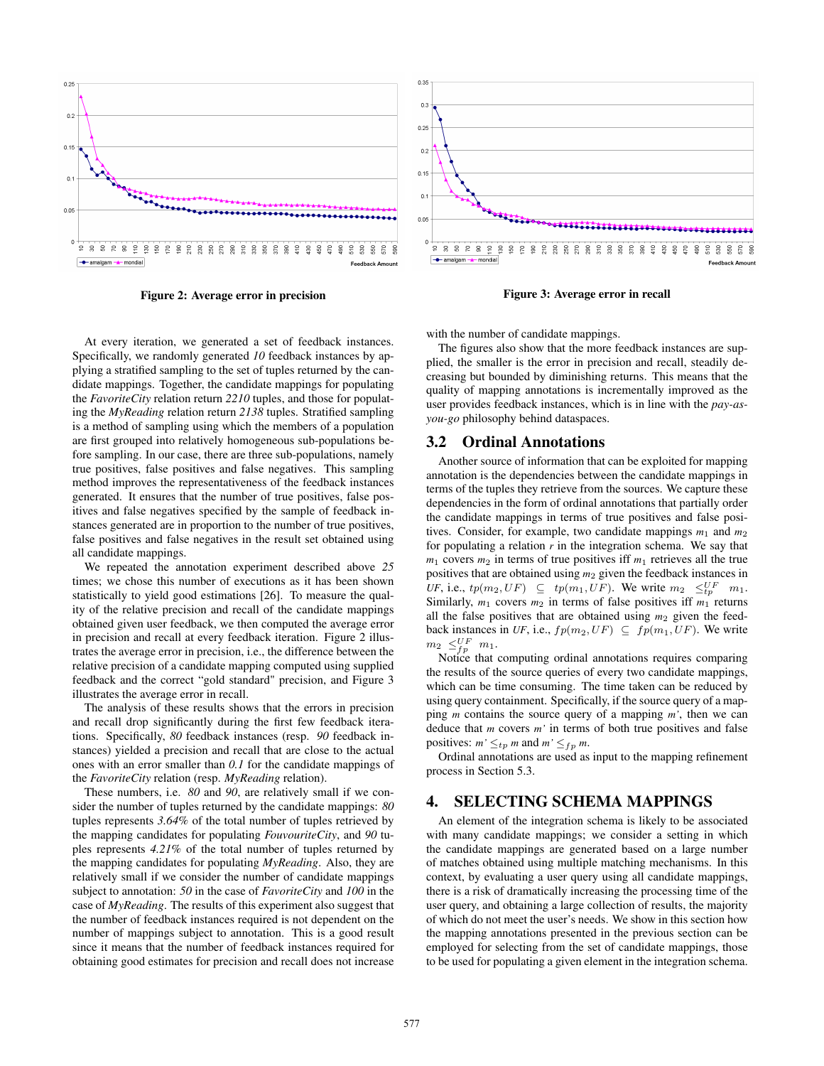

Figure 2: Average error in precision



Figure 3: Average error in recall

At every iteration, we generated a set of feedback instances. Specifically, we randomly generated *10* feedback instances by applying a stratified sampling to the set of tuples returned by the candidate mappings. Together, the candidate mappings for populating the *FavoriteCity* relation return *2210* tuples, and those for populating the *MyReading* relation return *2138* tuples. Stratified sampling is a method of sampling using which the members of a population are first grouped into relatively homogeneous sub-populations before sampling. In our case, there are three sub-populations, namely true positives, false positives and false negatives. This sampling method improves the representativeness of the feedback instances generated. It ensures that the number of true positives, false positives and false negatives specified by the sample of feedback instances generated are in proportion to the number of true positives, false positives and false negatives in the result set obtained using all candidate mappings.

We repeated the annotation experiment described above *25* times; we chose this number of executions as it has been shown statistically to yield good estimations [26]. To measure the quality of the relative precision and recall of the candidate mappings obtained given user feedback, we then computed the average error in precision and recall at every feedback iteration. Figure 2 illustrates the average error in precision, i.e., the difference between the relative precision of a candidate mapping computed using supplied feedback and the correct "gold standard" precision, and Figure 3 illustrates the average error in recall.

The analysis of these results shows that the errors in precision and recall drop significantly during the first few feedback iterations. Specifically, *80* feedback instances (resp. *90* feedback instances) yielded a precision and recall that are close to the actual ones with an error smaller than *0.1* for the candidate mappings of the *FavoriteCity* relation (resp. *MyReading* relation).

These numbers, i.e. *80* and *90*, are relatively small if we consider the number of tuples returned by the candidate mappings: *80* tuples represents *3.64*% of the total number of tuples retrieved by the mapping candidates for populating *FouvouriteCity*, and *90* tuples represents *4.21*% of the total number of tuples returned by the mapping candidates for populating *MyReading*. Also, they are relatively small if we consider the number of candidate mappings subject to annotation: *50* in the case of *FavoriteCity* and *100* in the case of *MyReading*. The results of this experiment also suggest that the number of feedback instances required is not dependent on the number of mappings subject to annotation. This is a good result since it means that the number of feedback instances required for obtaining good estimates for precision and recall does not increase

with the number of candidate mappings.

The figures also show that the more feedback instances are supplied, the smaller is the error in precision and recall, steadily decreasing but bounded by diminishing returns. This means that the quality of mapping annotations is incrementally improved as the user provides feedback instances, which is in line with the *pay-asyou-go* philosophy behind dataspaces.

## 3.2 Ordinal Annotations

Another source of information that can be exploited for mapping annotation is the dependencies between the candidate mappings in terms of the tuples they retrieve from the sources. We capture these dependencies in the form of ordinal annotations that partially order the candidate mappings in terms of true positives and false positives. Consider, for example, two candidate mappings  $m_1$  and  $m_2$ for populating a relation  $r$  in the integration schema. We say that  $m_1$  covers  $m_2$  in terms of true positives iff  $m_1$  retrieves all the true positives that are obtained using *m*<sup>2</sup> given the feedback instances in *UF*, i.e.,  $tp(m_2, UF) \subseteq tp(m_1, UF)$ . We write  $m_2 \leq_{tp}^{UF} m_1$ . Similarly,  $m_1$  covers  $m_2$  in terms of false positives iff  $m_1$  returns all the false positives that are obtained using *m*<sup>2</sup> given the feedback instances in *UF*, i.e.,  $fp(m_2, UF) \subseteq fp(m_1, UF)$ . We write  $m_2 \leq_{fp}^{UF} m_1.$ 

Notice that computing ordinal annotations requires comparing the results of the source queries of every two candidate mappings, which can be time consuming. The time taken can be reduced by using query containment. Specifically, if the source query of a mapping *m* contains the source query of a mapping *m'*, then we can deduce that *m* covers *m'* in terms of both true positives and false positives:  $m' \leq_{tp} m$  and  $m' \leq_{fp} m$ .

Ordinal annotations are used as input to the mapping refinement process in Section 5.3.

## 4. SELECTING SCHEMA MAPPINGS

An element of the integration schema is likely to be associated with many candidate mappings; we consider a setting in which the candidate mappings are generated based on a large number of matches obtained using multiple matching mechanisms. In this context, by evaluating a user query using all candidate mappings, there is a risk of dramatically increasing the processing time of the user query, and obtaining a large collection of results, the majority of which do not meet the user's needs. We show in this section how the mapping annotations presented in the previous section can be employed for selecting from the set of candidate mappings, those to be used for populating a given element in the integration schema.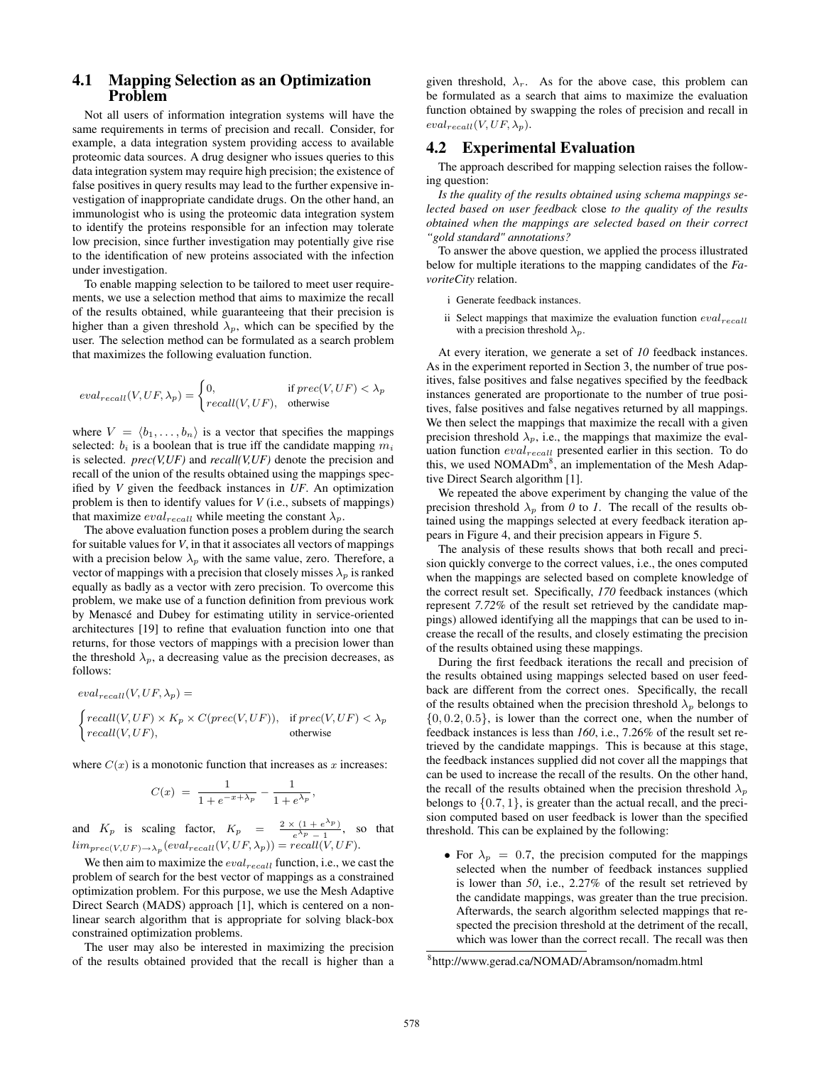## 4.1 Mapping Selection as an Optimization Problem

Not all users of information integration systems will have the same requirements in terms of precision and recall. Consider, for example, a data integration system providing access to available proteomic data sources. A drug designer who issues queries to this data integration system may require high precision; the existence of false positives in query results may lead to the further expensive investigation of inappropriate candidate drugs. On the other hand, an immunologist who is using the proteomic data integration system to identify the proteins responsible for an infection may tolerate low precision, since further investigation may potentially give rise to the identification of new proteins associated with the infection under investigation.

To enable mapping selection to be tailored to meet user requirements, we use a selection method that aims to maximize the recall of the results obtained, while guaranteeing that their precision is higher than a given threshold  $\lambda_p$ , which can be specified by the user. The selection method can be formulated as a search problem that maximizes the following evaluation function.

$$
eval_{recall}(V,UF,\lambda_p) = \begin{cases} 0, & \text{if } prec(V,UF) < \lambda_p \\ recall(V,UF), & \text{otherwise} \end{cases}
$$

where  $V = \langle b_1, \ldots, b_n \rangle$  is a vector that specifies the mappings selected:  $b_i$  is a boolean that is true iff the candidate mapping  $m_i$ is selected. *prec(V,UF)* and *recall(V,UF)* denote the precision and recall of the union of the results obtained using the mappings specified by *V* given the feedback instances in *UF*. An optimization problem is then to identify values for *V* (i.e., subsets of mappings) that maximize  $eval_{recall}$  while meeting the constant  $\lambda_p$ .

The above evaluation function poses a problem during the search for suitable values for *V*, in that it associates all vectors of mappings with a precision below  $\lambda_p$  with the same value, zero. Therefore, a vector of mappings with a precision that closely misses  $\lambda_p$  is ranked equally as badly as a vector with zero precision. To overcome this problem, we make use of a function definition from previous work by Menascé and Dubey for estimating utility in service-oriented architectures [19] to refine that evaluation function into one that returns, for those vectors of mappings with a precision lower than the threshold  $\lambda_p$ , a decreasing value as the precision decreases, as follows:

$$
eval_{recall}(V,UF, \lambda_p) =
$$
\n
$$
\begin{cases}\nrecall(V,UF) \times K_p \times C(prec(V,UF)), & \text{if } prec(V,UF) < \lambda_p \\
recall(V,UF), & \text{otherwise}\n\end{cases}
$$

where  $C(x)$  is a monotonic function that increases as x increases:

$$
C(x) = \frac{1}{1 + e^{-x + \lambda_p}} - \frac{1}{1 + e^{\lambda_p}},
$$

and  $K_p$  is scaling factor,  $K_p = \frac{2 \times (1 + e^{\lambda_p})}{\lambda_p - 1}$  $\frac{(1+e^{N}y)}{e^{\lambda}p-1}$ , so that  $\lim_{prec(V,UF)\to\lambda_p}(eval_{recall}(V,UF,\lambda_p))=recall(V,UF).$ 

We then aim to maximize the  $eval_{recall}$  function, i.e., we cast the problem of search for the best vector of mappings as a constrained optimization problem. For this purpose, we use the Mesh Adaptive Direct Search (MADS) approach [1], which is centered on a nonlinear search algorithm that is appropriate for solving black-box constrained optimization problems.

The user may also be interested in maximizing the precision of the results obtained provided that the recall is higher than a

given threshold,  $\lambda_r$ . As for the above case, this problem can be formulated as a search that aims to maximize the evaluation function obtained by swapping the roles of precision and recall in  $eval_{recall}(V,UF, \lambda_p).$ 

## 4.2 Experimental Evaluation

The approach described for mapping selection raises the following question:

*Is the quality of the results obtained using schema mappings selected based on user feedback* close *to the quality of the results obtained when the mappings are selected based on their correct "gold standard" annotations?*

To answer the above question, we applied the process illustrated below for multiple iterations to the mapping candidates of the *FavoriteCity* relation.

- i Generate feedback instances.
- ii Select mappings that maximize the evaluation function  $eval_{recall}$ with a precision threshold  $\lambda_p$ .

At every iteration, we generate a set of *10* feedback instances. As in the experiment reported in Section 3, the number of true positives, false positives and false negatives specified by the feedback instances generated are proportionate to the number of true positives, false positives and false negatives returned by all mappings. We then select the mappings that maximize the recall with a given precision threshold  $\lambda_p$ , i.e., the mappings that maximize the evaluation function  $eval_{recall}$  presented earlier in this section. To do this, we used NOMADm<sup>8</sup>, an implementation of the Mesh Adaptive Direct Search algorithm [1].

We repeated the above experiment by changing the value of the precision threshold  $\lambda_p$  from *0* to *1*. The recall of the results obtained using the mappings selected at every feedback iteration appears in Figure 4, and their precision appears in Figure 5.

The analysis of these results shows that both recall and precision quickly converge to the correct values, i.e., the ones computed when the mappings are selected based on complete knowledge of the correct result set. Specifically, *170* feedback instances (which represent *7.72%* of the result set retrieved by the candidate mappings) allowed identifying all the mappings that can be used to increase the recall of the results, and closely estimating the precision of the results obtained using these mappings.

During the first feedback iterations the recall and precision of the results obtained using mappings selected based on user feedback are different from the correct ones. Specifically, the recall of the results obtained when the precision threshold  $\lambda_p$  belongs to  $\{0, 0.2, 0.5\}$ , is lower than the correct one, when the number of feedback instances is less than *160*, i.e., 7.26% of the result set retrieved by the candidate mappings. This is because at this stage, the feedback instances supplied did not cover all the mappings that can be used to increase the recall of the results. On the other hand, the recall of the results obtained when the precision threshold  $\lambda_p$ belongs to  $\{0.7, 1\}$ , is greater than the actual recall, and the precision computed based on user feedback is lower than the specified threshold. This can be explained by the following:

• For  $\lambda_p = 0.7$ , the precision computed for the mappings selected when the number of feedback instances supplied is lower than *50*, i.e., 2.27% of the result set retrieved by the candidate mappings, was greater than the true precision. Afterwards, the search algorithm selected mappings that respected the precision threshold at the detriment of the recall, which was lower than the correct recall. The recall was then

<sup>8</sup> http://www.gerad.ca/NOMAD/Abramson/nomadm.html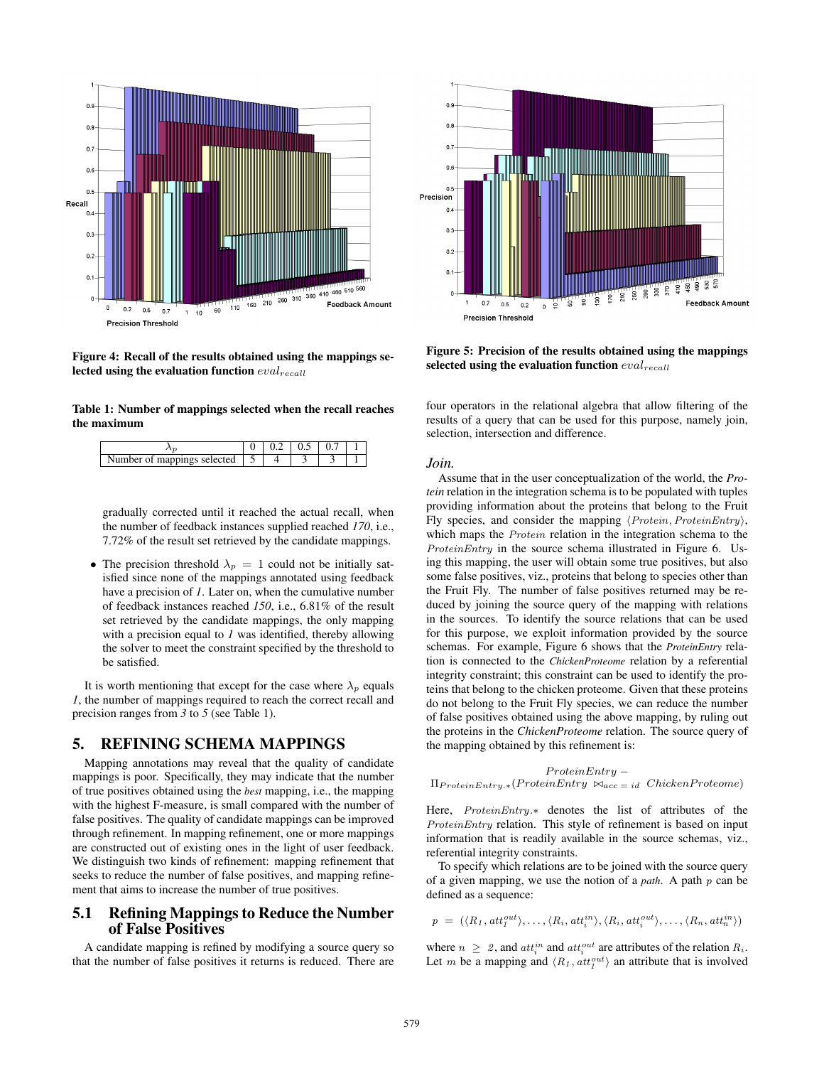

Figure 4: Recall of the results obtained using the mappings selected using the evaluation function  $eval_{recall}$ 

Table 1: Number of mappings selected when the recall reaches the maximum

| Number of mappings selected<br>$\cdots$ |  |  |  |
|-----------------------------------------|--|--|--|

gradually corrected until it reached the actual recall, when the number of feedback instances supplied reached *170*, i.e., 7.72% of the result set retrieved by the candidate mappings.

• The precision threshold  $\lambda_p = 1$  could not be initially satisfied since none of the mappings annotated using feedback have a precision of *1*. Later on, when the cumulative number of feedback instances reached *150*, i.e., 6.81% of the result set retrieved by the candidate mappings, the only mapping with a precision equal to *1* was identified, thereby allowing the solver to meet the constraint specified by the threshold to be satisfied.

It is worth mentioning that except for the case where  $\lambda_n$  equals *1*, the number of mappings required to reach the correct recall and precision ranges from *3* to *5* (see Table 1).

## 5. REFINING SCHEMA MAPPINGS

Mapping annotations may reveal that the quality of candidate mappings is poor. Specifically, they may indicate that the number of true positives obtained using the *best* mapping, i.e., the mapping with the highest F-measure, is small compared with the number of false positives. The quality of candidate mappings can be improved through refinement. In mapping refinement, one or more mappings are constructed out of existing ones in the light of user feedback. We distinguish two kinds of refinement: mapping refinement that seeks to reduce the number of false positives, and mapping refinement that aims to increase the number of true positives.

## 5.1 Refining Mappings to Reduce the Number of False Positives

A candidate mapping is refined by modifying a source query so that the number of false positives it returns is reduced. There are



Figure 5: Precision of the results obtained using the mappings selected using the evaluation function  $eval_{recall}$ 

four operators in the relational algebra that allow filtering of the results of a query that can be used for this purpose, namely join, selection, intersection and difference.

#### *Join.*

Assume that in the user conceptualization of the world, the *Protein* relation in the integration schema is to be populated with tuples providing information about the proteins that belong to the Fruit Fly species, and consider the mapping  $\langle Protein, ProteinEntry\rangle$ , which maps the Protein relation in the integration schema to the ProteinEntry in the source schema illustrated in Figure 6. Using this mapping, the user will obtain some true positives, but also some false positives, viz., proteins that belong to species other than the Fruit Fly. The number of false positives returned may be reduced by joining the source query of the mapping with relations in the sources. To identify the source relations that can be used for this purpose, we exploit information provided by the source schemas. For example, Figure 6 shows that the *ProteinEntry* relation is connected to the *ChickenProteome* relation by a referential integrity constraint; this constraint can be used to identify the proteins that belong to the chicken proteome. Given that these proteins do not belong to the Fruit Fly species, we can reduce the number of false positives obtained using the above mapping, by ruling out the proteins in the *ChickenProteome* relation. The source query of the mapping obtained by this refinement is:

$$
ProteinEntry = \Pi_{ProteinEntry.*}(ProteinEntry \Join_{acc = id} ChickenProteome)
$$

Here, ProteinEntry.∗ denotes the list of attributes of the ProteinEntry relation. This style of refinement is based on input information that is readily available in the source schemas, viz., referential integrity constraints.

To specify which relations are to be joined with the source query of a given mapping, we use the notion of a *path*. A path p can be defined as a sequence:

$$
p = (\langle R_1, att_1^{out} \rangle, \ldots, \langle R_i, att_i^{in} \rangle, \langle R_i, att_i^{out} \rangle, \ldots, \langle R_n, att_n^{in} \rangle)
$$

where  $n \geq 2$ , and  $att_i^{in}$  and  $att_i^{out}$  are attributes of the relation  $R_i$ . Let m be a mapping and  $\langle R_1, att_1^{out} \rangle$  an attribute that is involved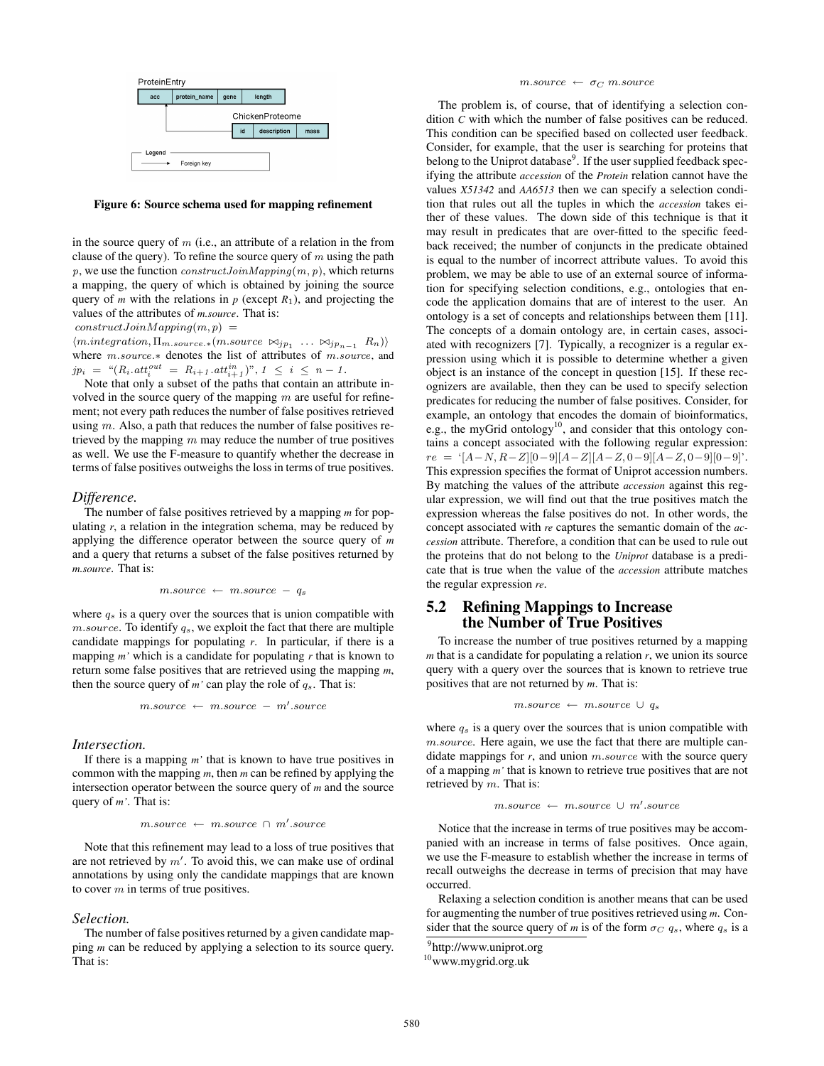

Figure 6: Source schema used for mapping refinement

in the source query of  $m$  (i.e., an attribute of a relation in the from clause of the query). To refine the source query of  $m$  using the path p, we use the function  $constructJoinMapping(m, p)$ , which returns a mapping, the query of which is obtained by joining the source query of *m* with the relations in  $p$  (except  $R_1$ ), and projecting the values of the attributes of *m.source*. That is:

 $constructJoinMapping(m, p) =$ 

 $\langle \textit{m.integration}, \Pi_{m.source.*}(m.source \bowtie_{jp_1} \ldots \bowtie_{jp_{n-1}} R_n) \rangle$ where m.source.∗ denotes the list of attributes of m.source, and  $jp_i = "(R_i . att_i^{out} = R_{i+1} . att_{i+1}^{in})", 1 \leq i \leq n-1.$ 

Note that only a subset of the paths that contain an attribute involved in the source query of the mapping  $m$  are useful for refinement; not every path reduces the number of false positives retrieved using  $m$ . Also, a path that reduces the number of false positives retrieved by the mapping  $m$  may reduce the number of true positives as well. We use the F-measure to quantify whether the decrease in terms of false positives outweighs the loss in terms of true positives.

#### *Difference.*

The number of false positives retrieved by a mapping *m* for populating *r*, a relation in the integration schema, may be reduced by applying the difference operator between the source query of *m* and a query that returns a subset of the false positives returned by *m.source*. That is:

$$
m-source \leftarrow m-source - q_s
$$

where  $q_s$  is a query over the sources that is union compatible with  $m-source$ . To identify  $q_s$ , we exploit the fact that there are multiple candidate mappings for populating *r*. In particular, if there is a mapping *m'* which is a candidate for populating *r* that is known to return some false positives that are retrieved using the mapping *m*, then the source query of  $m'$  can play the role of  $q_s$ . That is:

$$
m-source \leftarrow m-source - m'.source
$$

#### *Intersection.*

If there is a mapping *m'* that is known to have true positives in common with the mapping *m*, then *m* can be refined by applying the intersection operator between the source query of *m* and the source query of *m'*. That is:

$$
m-source \leftarrow m-source \cap m'.source
$$

Note that this refinement may lead to a loss of true positives that are not retrieved by  $m'$ . To avoid this, we can make use of ordinal annotations by using only the candidate mappings that are known to cover  $m$  in terms of true positives.

#### *Selection.*

The number of false positives returned by a given candidate mapping *m* can be reduced by applying a selection to its source query. That is:

### $m.\ensuremath{\textit{source}}\ \leftarrow\ \sigma_C\ m.\ensuremath{\textit{source}}$

The problem is, of course, that of identifying a selection condition *C* with which the number of false positives can be reduced. This condition can be specified based on collected user feedback. Consider, for example, that the user is searching for proteins that belong to the Uniprot database<sup>9</sup>. If the user supplied feedback specifying the attribute *accession* of the *Protein* relation cannot have the values *X51342* and *AA6513* then we can specify a selection condition that rules out all the tuples in which the *accession* takes either of these values. The down side of this technique is that it may result in predicates that are over-fitted to the specific feedback received; the number of conjuncts in the predicate obtained is equal to the number of incorrect attribute values. To avoid this problem, we may be able to use of an external source of information for specifying selection conditions, e.g., ontologies that encode the application domains that are of interest to the user. An ontology is a set of concepts and relationships between them [11]. The concepts of a domain ontology are, in certain cases, associated with recognizers [7]. Typically, a recognizer is a regular expression using which it is possible to determine whether a given object is an instance of the concept in question [15]. If these recognizers are available, then they can be used to specify selection predicates for reducing the number of false positives. Consider, for example, an ontology that encodes the domain of bioinformatics, e.g., the myGrid ontology<sup>10</sup>, and consider that this ontology contains a concept associated with the following regular expression:  $re = \{[A-N, R-Z][0-9][A-Z][A-Z, 0-9][A-Z, 0-9][0-9] \}.$ This expression specifies the format of Uniprot accession numbers. By matching the values of the attribute *accession* against this regular expression, we will find out that the true positives match the expression whereas the false positives do not. In other words, the concept associated with *re* captures the semantic domain of the *accession* attribute. Therefore, a condition that can be used to rule out the proteins that do not belong to the *Uniprot* database is a predicate that is true when the value of the *accession* attribute matches the regular expression *re*.

## 5.2 Refining Mappings to Increase the Number of True Positives

To increase the number of true positives returned by a mapping *m* that is a candidate for populating a relation *r*, we union its source query with a query over the sources that is known to retrieve true positives that are not returned by *m*. That is:

$$
m-source \leftarrow m-source \cup q_s
$$

where  $q_s$  is a query over the sources that is union compatible with m.source. Here again, we use the fact that there are multiple candidate mappings for *r*, and union *m.source* with the source query of a mapping *m'* that is known to retrieve true positives that are not retrieved by  $m$ . That is:

$$
m-source \ \leftarrow \ m-source \ \cup \ m'.source
$$

Notice that the increase in terms of true positives may be accompanied with an increase in terms of false positives. Once again, we use the F-measure to establish whether the increase in terms of recall outweighs the decrease in terms of precision that may have occurred.

Relaxing a selection condition is another means that can be used for augmenting the number of true positives retrieved using *m*. Consider that the source query of *m* is of the form  $\sigma_C$   $q_s$ , where  $q_s$  is a

<sup>&</sup>lt;sup>9</sup>http://www.uniprot.org

<sup>10</sup>www.mygrid.org.uk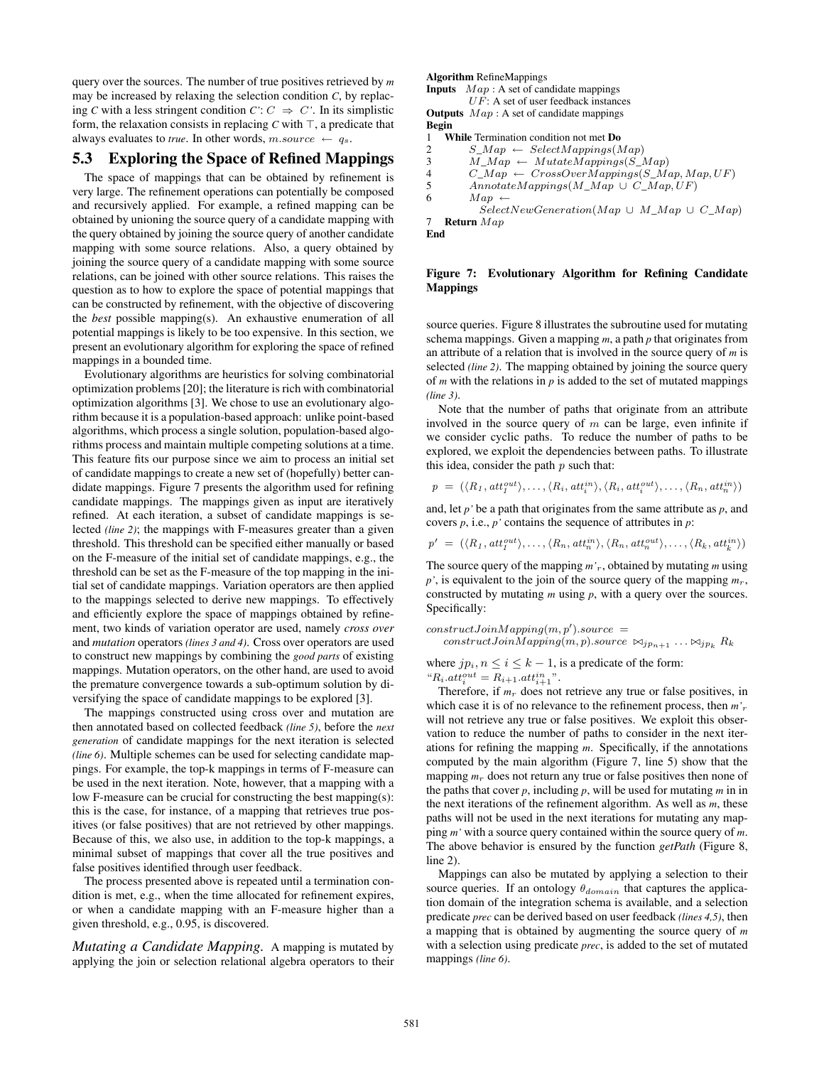query over the sources. The number of true positives retrieved by *m* may be increased by relaxing the selection condition *C*, by replacing *C* with a less stringent condition  $C: C \Rightarrow C'$ . In its simplistic form, the relaxation consists in replacing  $C$  with  $\top$ , a predicate that always evaluates to *true*. In other words, m.source  $\leftarrow q_s$ .

## 5.3 Exploring the Space of Refined Mappings

The space of mappings that can be obtained by refinement is very large. The refinement operations can potentially be composed and recursively applied. For example, a refined mapping can be obtained by unioning the source query of a candidate mapping with the query obtained by joining the source query of another candidate mapping with some source relations. Also, a query obtained by joining the source query of a candidate mapping with some source relations, can be joined with other source relations. This raises the question as to how to explore the space of potential mappings that can be constructed by refinement, with the objective of discovering the *best* possible mapping(s). An exhaustive enumeration of all potential mappings is likely to be too expensive. In this section, we present an evolutionary algorithm for exploring the space of refined mappings in a bounded time.

Evolutionary algorithms are heuristics for solving combinatorial optimization problems [20]; the literature is rich with combinatorial optimization algorithms [3]. We chose to use an evolutionary algorithm because it is a population-based approach: unlike point-based algorithms, which process a single solution, population-based algorithms process and maintain multiple competing solutions at a time. This feature fits our purpose since we aim to process an initial set of candidate mappings to create a new set of (hopefully) better candidate mappings. Figure 7 presents the algorithm used for refining candidate mappings. The mappings given as input are iteratively refined. At each iteration, a subset of candidate mappings is selected *(line 2)*; the mappings with F-measures greater than a given threshold. This threshold can be specified either manually or based on the F-measure of the initial set of candidate mappings, e.g., the threshold can be set as the F-measure of the top mapping in the initial set of candidate mappings. Variation operators are then applied to the mappings selected to derive new mappings. To effectively and efficiently explore the space of mappings obtained by refinement, two kinds of variation operator are used, namely *cross over* and *mutation* operators *(lines 3 and 4)*. Cross over operators are used to construct new mappings by combining the *good parts* of existing mappings. Mutation operators, on the other hand, are used to avoid the premature convergence towards a sub-optimum solution by diversifying the space of candidate mappings to be explored [3].

The mappings constructed using cross over and mutation are then annotated based on collected feedback *(line 5)*, before the *next generation* of candidate mappings for the next iteration is selected *(line 6)*. Multiple schemes can be used for selecting candidate mappings. For example, the top-k mappings in terms of F-measure can be used in the next iteration. Note, however, that a mapping with a low F-measure can be crucial for constructing the best mapping(s): this is the case, for instance, of a mapping that retrieves true positives (or false positives) that are not retrieved by other mappings. Because of this, we also use, in addition to the top-k mappings, a minimal subset of mappings that cover all the true positives and false positives identified through user feedback.

The process presented above is repeated until a termination condition is met, e.g., when the time allocated for refinement expires, or when a candidate mapping with an F-measure higher than a given threshold, e.g., 0.95, is discovered.

*Mutating a Candidate Mapping.* A mapping is mutated by applying the join or selection relational algebra operators to their

#### Algorithm RefineMappings

**Inputs**  $Map: A set of candidate mappings$  $UF: A set of user feedback instances$ **Outputs**  $Map: A set of candidate mappings$ 

```
Begin
```
1 **While** Termination condition not met **Do**<br>2  $S_Map \leftarrow SelectMappings(\Lambda)$ 

2  $S\_Map \leftarrow SelectMappings(Map)$ <br>3  $M\_Map \leftarrow MutateMappings(S\_I)$ 

3  $\overline{M\_Map} \leftarrow Mutate\overline{Map}ings(\overline{S\_Map})$ <br>4  $\overline{C\_Map} \leftarrow CrossOverMappings(\overline{S\_Map})$ 

4  $C_Map \leftarrow CrossOverMappings(S_Map, Map, UF)$ <br>5  $Annotated Mappings(M_Map \cup C_Map, UF)$  $An notate Mappings (M\_Map \cup C\_Map, UF)$ 

6 Map  $\leftarrow$ 

 $SelectNewGeneration(Map \cup M\_Map \cup C\_Map)$ 7 Return Map

End

#### Figure 7: Evolutionary Algorithm for Refining Candidate Mappings

source queries. Figure 8 illustrates the subroutine used for mutating schema mappings. Given a mapping *m*, a path *p* that originates from an attribute of a relation that is involved in the source query of *m* is selected *(line 2)*. The mapping obtained by joining the source query of *m* with the relations in  $p$  is added to the set of mutated mappings *(line 3)*.

Note that the number of paths that originate from an attribute involved in the source query of  $m$  can be large, even infinite if we consider cyclic paths. To reduce the number of paths to be explored, we exploit the dependencies between paths. To illustrate this idea, consider the path  $p$  such that:

$$
p = (\langle R_1, att_1^{out} \rangle, \ldots, \langle R_i, att_i^{in} \rangle, \langle R_i, att_i^{out} \rangle, \ldots, \langle R_n, att_n^{in} \rangle)
$$

and, let *p'* be a path that originates from the same attribute as *p*, and covers *p*, i.e., *p'* contains the sequence of attributes in *p*:

$$
p' = (\langle R_1, att_1^{out} \rangle, \ldots, \langle R_n, att_n^{in} \rangle, \langle R_n, att_n^{out} \rangle, \ldots, \langle R_k, att_n^{in} \rangle)
$$

The source query of the mapping *m'*r, obtained by mutating *m* using  $p'$ , is equivalent to the join of the source query of the mapping  $m_r$ , constructed by mutating *m* using *p*, with a query over the sources. Specifically:

 $constructJoinMapping(m, p').source =$ 

constructJoinMapping $(m, p)$ .source  $\bowtie_{jp_{n+1}} \dots \bowtie_{jp_k} R_k$ 

where  $jp_i, n \leq i \leq k-1$ , is a predicate of the form: " $R_i. att_i^{out} = R_{i+1}.att_{i+1}^{in}$ ".

Therefore, if  $m_r$  does not retrieve any true or false positives, in which case it is of no relevance to the refinement process, then *m'*<sup>r</sup> will not retrieve any true or false positives. We exploit this observation to reduce the number of paths to consider in the next iterations for refining the mapping *m*. Specifically, if the annotations computed by the main algorithm (Figure 7, line 5) show that the mapping  $m_r$  does not return any true or false positives then none of the paths that cover  $p$ , including  $p$ , will be used for mutating  $m$  in in the next iterations of the refinement algorithm. As well as *m*, these paths will not be used in the next iterations for mutating any mapping *m'* with a source query contained within the source query of *m*. The above behavior is ensured by the function *getPath* (Figure 8, line 2).

Mappings can also be mutated by applying a selection to their source queries. If an ontology  $\theta_{domain}$  that captures the application domain of the integration schema is available, and a selection predicate *prec* can be derived based on user feedback *(lines 4,5)*, then a mapping that is obtained by augmenting the source query of *m* with a selection using predicate *prec*, is added to the set of mutated mappings *(line 6)*.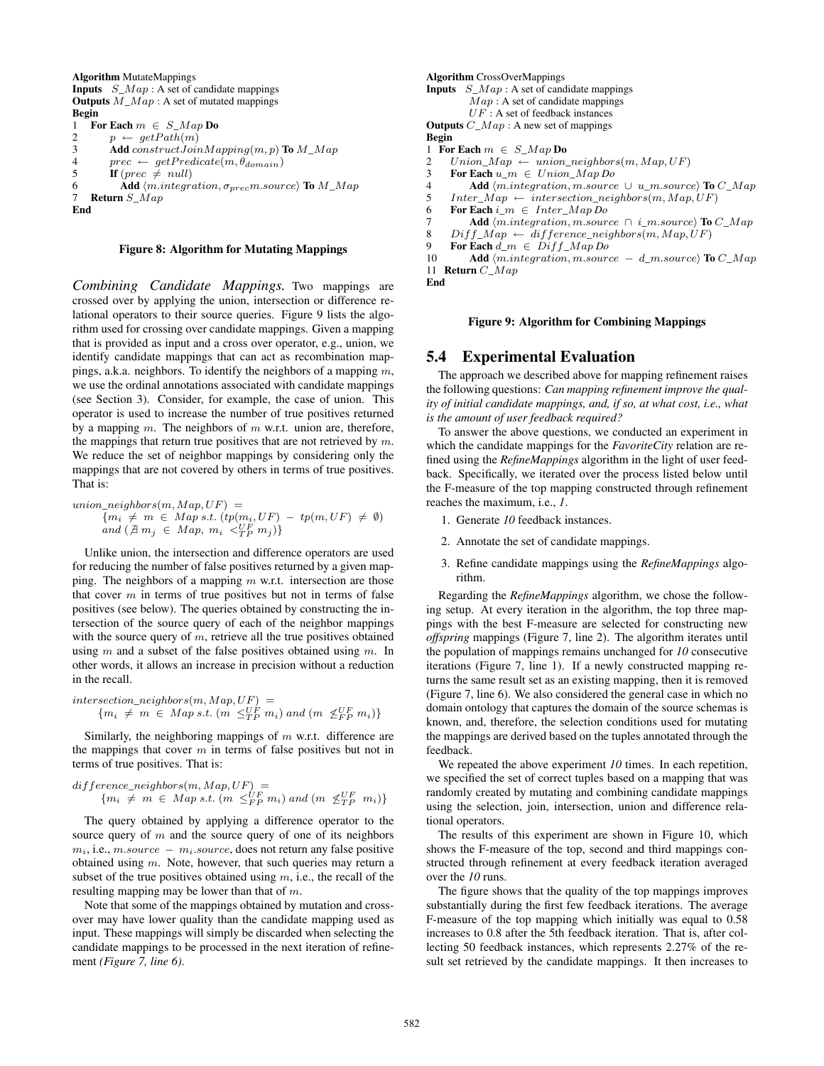```
Algorithm MutateMappings
Inputs S_Map : A set of candidate mappings
Outputs M\_Map : A set of mutated mappings
Begin
1 For Each m \in S_M ap Do
2 p \leftarrow getPath(m)<br>3 Add constructJoin
         Add construct JoinMapping(m, p) To M\_Map4 prec \leftarrow getPredictem, \theta_{domain})<br>5 If prec \neq null)
         If (\text{prec} \neq \text{null})6 Add \langle m.integration, \sigma_{prec}m.source \rangle To M\_Map<br>7 Return S Map
    Return S_MapEnd
```
#### Figure 8: Algorithm for Mutating Mappings

*Combining Candidate Mappings.* Two mappings are crossed over by applying the union, intersection or difference relational operators to their source queries. Figure 9 lists the algorithm used for crossing over candidate mappings. Given a mapping that is provided as input and a cross over operator, e.g., union, we identify candidate mappings that can act as recombination mappings, a.k.a. neighbors. To identify the neighbors of a mapping  $m$ , we use the ordinal annotations associated with candidate mappings (see Section 3). Consider, for example, the case of union. This operator is used to increase the number of true positives returned by a mapping  $m$ . The neighbors of  $m$  w.r.t. union are, therefore, the mappings that return true positives that are not retrieved by  $m$ . We reduce the set of neighbor mappings by considering only the mappings that are not covered by others in terms of true positives. That is:

$$
union\_neighbors(m, Map, UF) =
$$
  
\n
$$
\{m_i \neq m \in Map \ s.t. \ (tp(m_i, UF) - tp(m, UF) \neq \emptyset)
$$
  
\n
$$
and \ (\nexists m_j \in Map, m_i \leq_{TF}^{UF} m_j)\}
$$

Unlike union, the intersection and difference operators are used for reducing the number of false positives returned by a given mapping. The neighbors of a mapping  $m$  w.r.t. intersection are those that cover  $m$  in terms of true positives but not in terms of false positives (see below). The queries obtained by constructing the intersection of the source query of each of the neighbor mappings with the source query of  $m$ , retrieve all the true positives obtained using  $m$  and a subset of the false positives obtained using  $m$ . In other words, it allows an increase in precision without a reduction in the recall.

$$
\begin{array}{ll}\n\text{intersection\_neighbors}(m, Map, UF) = \\
\{m_i \neq m \in Map \ s.t. \ (m \leq_{TP}^{UF} m_i) \ and \ (m \leq_{FP}^{UF} m_i)\}\n\end{array}
$$

Similarly, the neighboring mappings of  $m$  w.r.t. difference are the mappings that cover  $m$  in terms of false positives but not in terms of true positives. That is:

$$
difference\_neighbors(m, Map, UF) =
$$
  
\n $\{m_i \neq m \in Map \, s.t. \, (m \leq_{FP}^U m_i) \, and \, (m \leq_{TP}^U m_i)\}\$ 

The query obtained by applying a difference operator to the source query of  $m$  and the source query of one of its neighbors  $m_i$ , i.e., m.source –  $m_i$ .source, does not return any false positive obtained using  $m$ . Note, however, that such queries may return a subset of the true positives obtained using  $m$ , i.e., the recall of the resulting mapping may be lower than that of  $m$ .

Note that some of the mappings obtained by mutation and crossover may have lower quality than the candidate mapping used as input. These mappings will simply be discarded when selecting the candidate mappings to be processed in the next iteration of refinement *(Figure 7, line 6)*.

```
Algorithm CrossOverMappings
Inputs S_Map : A set of candidate mappingsMap: A set of candidate mappingsUF: A set of feedback instancesOutputs C_Map : A new set of mappings
Begin<br>1 For
  For Each m \in S_M Do
2 Union\_Map \leftarrow union\_neighbors(m, Map, UF)3 For Each u_m ∈ Union_Map Do
4 Add \langle m.integration, m.source \cup u_m.source \rangle To C_Map<br>5 Inter_Map \leftarrow intersection_neighbors(m, Map, UF)
      Inter\_Map \leftarrow intersection\_neighbors(m, Map, UF)6 For Each i_m \in Inter_Map Do
7 Add \langle m.integration, m.source \cap i_m.source \rangle To C_Map<br>8 Diff Map \leftarrow difference neighbors\langle m, Man, UF \rangle8 Diff\_Map \leftarrow difference\_neighbors(m, Map, UF)<br>9 For Each d, m \in Diff \; Map \, Do9 For Each d_m \in Diff_Map Do<br>10 Add (m integration m source
           Add \langle m.integration, m.source - d_m.source \rangle To C_Map11 Return C Map
```
End

#### Figure 9: Algorithm for Combining Mappings

#### 5.4 Experimental Evaluation

The approach we described above for mapping refinement raises the following questions: *Can mapping refinement improve the quality of initial candidate mappings, and, if so, at what cost, i.e., what is the amount of user feedback required?*

To answer the above questions, we conducted an experiment in which the candidate mappings for the *FavoriteCity* relation are refined using the *RefineMappings* algorithm in the light of user feedback. Specifically, we iterated over the process listed below until the F-measure of the top mapping constructed through refinement reaches the maximum, i.e.,  $I$ 

- 1. Generate *10* feedback instances.
- 2. Annotate the set of candidate mappings.
- 3. Refine candidate mappings using the *RefineMappings* algorithm.

Regarding the *RefineMappings* algorithm, we chose the following setup. At every iteration in the algorithm, the top three mappings with the best F-measure are selected for constructing new *offspring* mappings (Figure 7, line 2). The algorithm iterates until the population of mappings remains unchanged for *10* consecutive iterations (Figure 7, line 1). If a newly constructed mapping returns the same result set as an existing mapping, then it is removed (Figure 7, line 6). We also considered the general case in which no domain ontology that captures the domain of the source schemas is known, and, therefore, the selection conditions used for mutating the mappings are derived based on the tuples annotated through the feedback.

We repeated the above experiment *10* times. In each repetition, we specified the set of correct tuples based on a mapping that was randomly created by mutating and combining candidate mappings using the selection, join, intersection, union and difference relational operators.

The results of this experiment are shown in Figure 10, which shows the F-measure of the top, second and third mappings constructed through refinement at every feedback iteration averaged over the *10* runs.

The figure shows that the quality of the top mappings improves substantially during the first few feedback iterations. The average F-measure of the top mapping which initially was equal to 0.58 increases to 0.8 after the 5th feedback iteration. That is, after collecting 50 feedback instances, which represents 2.27% of the result set retrieved by the candidate mappings. It then increases to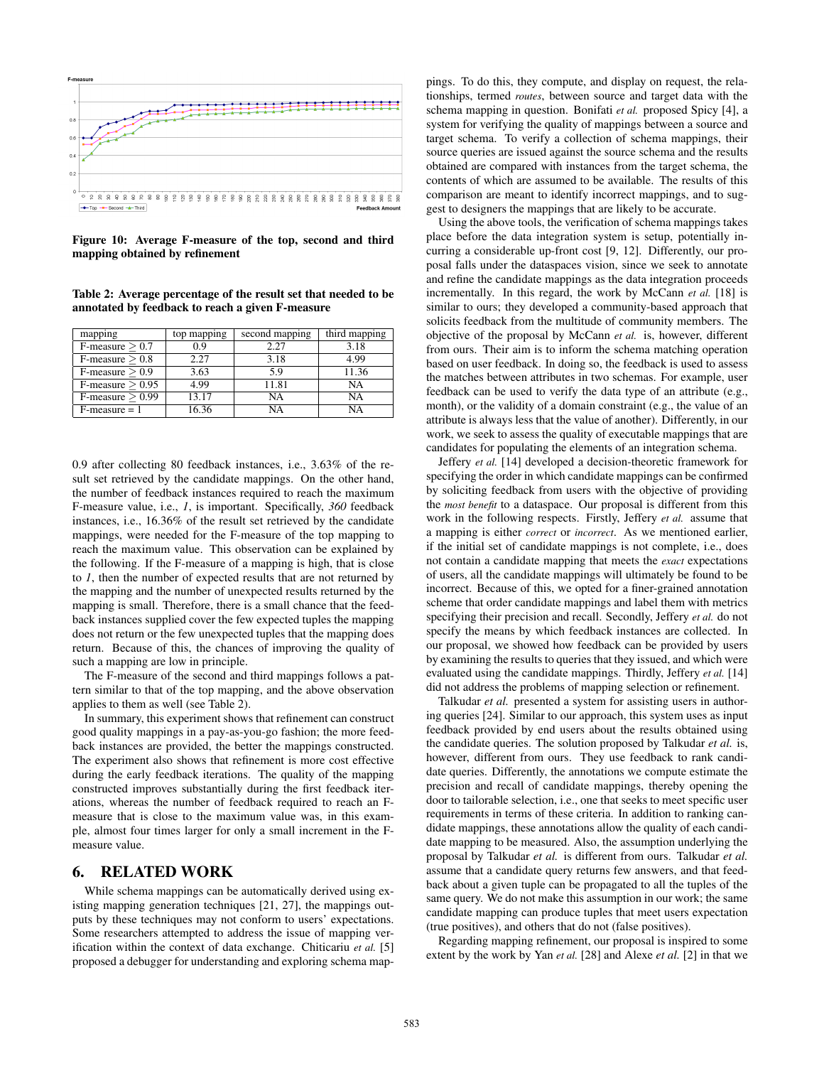

Figure 10: Average F-measure of the top, second and third mapping obtained by refinement

Table 2: Average percentage of the result set that needed to be annotated by feedback to reach a given F-measure

| mapping            | top mapping | second mapping | third mapping |  |
|--------------------|-------------|----------------|---------------|--|
| $F-measure > 0.7$  | 09          | 2.27           | 3.18          |  |
| $F-measure > 0.8$  | 2.27        | 3.18           | 4.99          |  |
| $F-measure > 0.9$  | 3.63        | 5.9            | 11.36         |  |
| $F-measure > 0.95$ | 4.99        | 11.81          | NA            |  |
| F-measure $> 0.99$ | 13.17       | NA             | NA            |  |
| $F-measure = 1$    | 6.36        | NA             | NА            |  |

0.9 after collecting 80 feedback instances, i.e., 3.63% of the result set retrieved by the candidate mappings. On the other hand, the number of feedback instances required to reach the maximum F-measure value, i.e., *1*, is important. Specifically, *360* feedback instances, i.e., 16.36% of the result set retrieved by the candidate mappings, were needed for the F-measure of the top mapping to reach the maximum value. This observation can be explained by the following. If the F-measure of a mapping is high, that is close to *1*, then the number of expected results that are not returned by the mapping and the number of unexpected results returned by the mapping is small. Therefore, there is a small chance that the feedback instances supplied cover the few expected tuples the mapping does not return or the few unexpected tuples that the mapping does return. Because of this, the chances of improving the quality of such a mapping are low in principle.

The F-measure of the second and third mappings follows a pattern similar to that of the top mapping, and the above observation applies to them as well (see Table 2).

In summary, this experiment shows that refinement can construct good quality mappings in a pay-as-you-go fashion; the more feedback instances are provided, the better the mappings constructed. The experiment also shows that refinement is more cost effective during the early feedback iterations. The quality of the mapping constructed improves substantially during the first feedback iterations, whereas the number of feedback required to reach an Fmeasure that is close to the maximum value was, in this example, almost four times larger for only a small increment in the Fmeasure value.

## 6. RELATED WORK

While schema mappings can be automatically derived using existing mapping generation techniques [21, 27], the mappings outputs by these techniques may not conform to users' expectations. Some researchers attempted to address the issue of mapping verification within the context of data exchange. Chiticariu *et al.* [5] proposed a debugger for understanding and exploring schema mappings. To do this, they compute, and display on request, the relationships, termed *routes*, between source and target data with the schema mapping in question. Bonifati *et al.* proposed Spicy [4], a system for verifying the quality of mappings between a source and target schema. To verify a collection of schema mappings, their source queries are issued against the source schema and the results obtained are compared with instances from the target schema, the contents of which are assumed to be available. The results of this comparison are meant to identify incorrect mappings, and to suggest to designers the mappings that are likely to be accurate.

Using the above tools, the verification of schema mappings takes place before the data integration system is setup, potentially incurring a considerable up-front cost [9, 12]. Differently, our proposal falls under the dataspaces vision, since we seek to annotate and refine the candidate mappings as the data integration proceeds incrementally. In this regard, the work by McCann *et al.* [18] is similar to ours; they developed a community-based approach that solicits feedback from the multitude of community members. The objective of the proposal by McCann *et al.* is, however, different from ours. Their aim is to inform the schema matching operation based on user feedback. In doing so, the feedback is used to assess the matches between attributes in two schemas. For example, user feedback can be used to verify the data type of an attribute (e.g., month), or the validity of a domain constraint (e.g., the value of an attribute is always less that the value of another). Differently, in our work, we seek to assess the quality of executable mappings that are candidates for populating the elements of an integration schema.

Jeffery *et al.* [14] developed a decision-theoretic framework for specifying the order in which candidate mappings can be confirmed by soliciting feedback from users with the objective of providing the *most benefit* to a dataspace. Our proposal is different from this work in the following respects. Firstly, Jeffery *et al.* assume that a mapping is either *correct* or *incorrect*. As we mentioned earlier, if the initial set of candidate mappings is not complete, i.e., does not contain a candidate mapping that meets the *exact* expectations of users, all the candidate mappings will ultimately be found to be incorrect. Because of this, we opted for a finer-grained annotation scheme that order candidate mappings and label them with metrics specifying their precision and recall. Secondly, Jeffery *et al.* do not specify the means by which feedback instances are collected. In our proposal, we showed how feedback can be provided by users by examining the results to queries that they issued, and which were evaluated using the candidate mappings. Thirdly, Jeffery *et al.* [14] did not address the problems of mapping selection or refinement.

Talkudar *et al.* presented a system for assisting users in authoring queries [24]. Similar to our approach, this system uses as input feedback provided by end users about the results obtained using the candidate queries. The solution proposed by Talkudar *et al.* is, however, different from ours. They use feedback to rank candidate queries. Differently, the annotations we compute estimate the precision and recall of candidate mappings, thereby opening the door to tailorable selection, i.e., one that seeks to meet specific user requirements in terms of these criteria. In addition to ranking candidate mappings, these annotations allow the quality of each candidate mapping to be measured. Also, the assumption underlying the proposal by Talkudar *et al.* is different from ours. Talkudar *et al.* assume that a candidate query returns few answers, and that feedback about a given tuple can be propagated to all the tuples of the same query. We do not make this assumption in our work; the same candidate mapping can produce tuples that meet users expectation (true positives), and others that do not (false positives).

Regarding mapping refinement, our proposal is inspired to some extent by the work by Yan *et al.* [28] and Alexe *et al.* [2] in that we